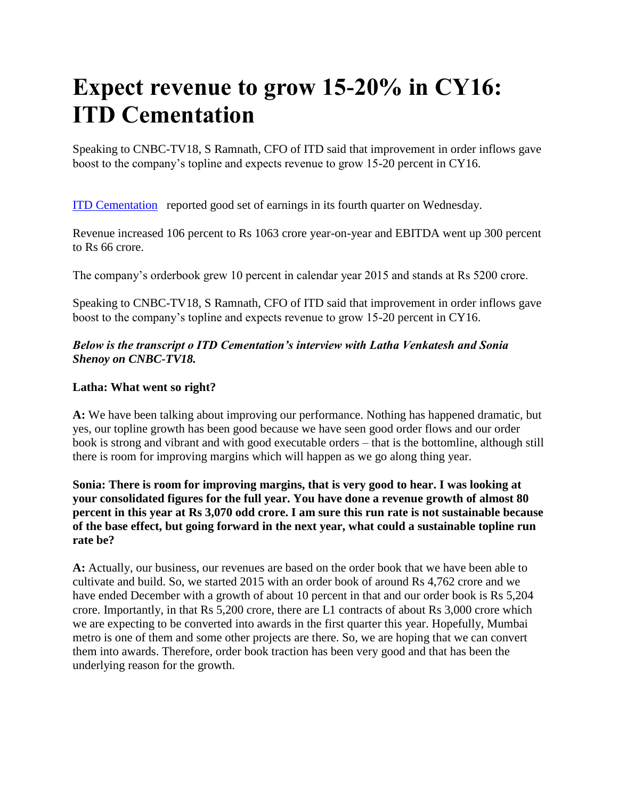# **Expect revenue to grow 15-20% in CY16: ITD Cementation**

Speaking to CNBC-TV18, S Ramnath, CFO of ITD said that improvement in order inflows gave boost to the company's topline and expects revenue to grow 15-20 percent in CY16.

[ITD Cementation](http://www.moneycontrol.com/india/stockpricequote/constructioncontracting-civil/itdcementationindia/ITD03) reported good set of earnings in its fourth quarter on Wednesday.

Revenue increased 106 percent to Rs 1063 crore year-on-year and EBITDA went up 300 percent to Rs 66 crore.

The company's orderbook grew 10 percent in calendar year 2015 and stands at Rs 5200 crore.

Speaking to CNBC-TV18, S Ramnath, CFO of ITD said that improvement in order inflows gave boost to the company's topline and expects revenue to grow 15-20 percent in CY16.

## *Below is the transcript o ITD Cementation's interview with Latha Venkatesh and Sonia Shenoy on CNBC-TV18.*

## **Latha: What went so right?**

**A:** We have been talking about improving our performance. Nothing has happened dramatic, but yes, our topline growth has been good because we have seen good order flows and our order book is strong and vibrant and with good executable orders – that is the bottomline, although still there is room for improving margins which will happen as we go along thing year.

**Sonia: There is room for improving margins, that is very good to hear. I was looking at your consolidated figures for the full year. You have done a revenue growth of almost 80 percent in this year at Rs 3,070 odd crore. I am sure this run rate is not sustainable because of the base effect, but going forward in the next year, what could a sustainable topline run rate be?**

**A:** Actually, our business, our revenues are based on the order book that we have been able to cultivate and build. So, we started 2015 with an order book of around Rs 4,762 crore and we have ended December with a growth of about 10 percent in that and our order book is Rs 5,204 crore. Importantly, in that Rs 5,200 crore, there are L1 contracts of about Rs 3,000 crore which we are expecting to be converted into awards in the first quarter this year. Hopefully, Mumbai metro is one of them and some other projects are there. So, we are hoping that we can convert them into awards. Therefore, order book traction has been very good and that has been the underlying reason for the growth.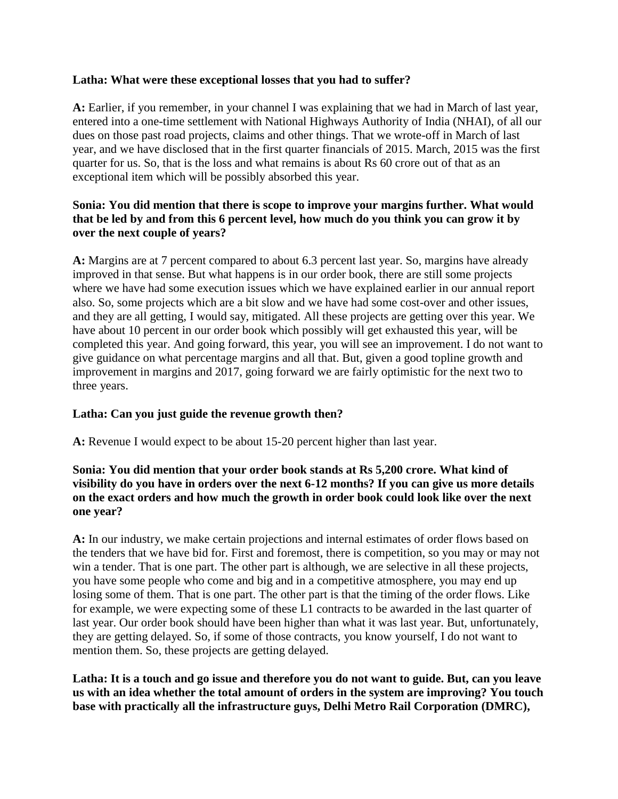#### **Latha: What were these exceptional losses that you had to suffer?**

**A:** Earlier, if you remember, in your channel I was explaining that we had in March of last year, entered into a one-time settlement with National Highways Authority of India (NHAI), of all our dues on those past road projects, claims and other things. That we wrote-off in March of last year, and we have disclosed that in the first quarter financials of 2015. March, 2015 was the first quarter for us. So, that is the loss and what remains is about Rs 60 crore out of that as an exceptional item which will be possibly absorbed this year.

## **Sonia: You did mention that there is scope to improve your margins further. What would that be led by and from this 6 percent level, how much do you think you can grow it by over the next couple of years?**

**A:** Margins are at 7 percent compared to about 6.3 percent last year. So, margins have already improved in that sense. But what happens is in our order book, there are still some projects where we have had some execution issues which we have explained earlier in our annual report also. So, some projects which are a bit slow and we have had some cost-over and other issues, and they are all getting, I would say, mitigated. All these projects are getting over this year. We have about 10 percent in our order book which possibly will get exhausted this year, will be completed this year. And going forward, this year, you will see an improvement. I do not want to give guidance on what percentage margins and all that. But, given a good topline growth and improvement in margins and 2017, going forward we are fairly optimistic for the next two to three years.

## **Latha: Can you just guide the revenue growth then?**

**A:** Revenue I would expect to be about 15-20 percent higher than last year.

## **Sonia: You did mention that your order book stands at Rs 5,200 crore. What kind of visibility do you have in orders over the next 6-12 months? If you can give us more details on the exact orders and how much the growth in order book could look like over the next one year?**

**A:** In our industry, we make certain projections and internal estimates of order flows based on the tenders that we have bid for. First and foremost, there is competition, so you may or may not win a tender. That is one part. The other part is although, we are selective in all these projects, you have some people who come and big and in a competitive atmosphere, you may end up losing some of them. That is one part. The other part is that the timing of the order flows. Like for example, we were expecting some of these L1 contracts to be awarded in the last quarter of last year. Our order book should have been higher than what it was last year. But, unfortunately, they are getting delayed. So, if some of those contracts, you know yourself, I do not want to mention them. So, these projects are getting delayed.

#### **Latha: It is a touch and go issue and therefore you do not want to guide. But, can you leave us with an idea whether the total amount of orders in the system are improving? You touch base with practically all the infrastructure guys, Delhi Metro Rail Corporation (DMRC),**